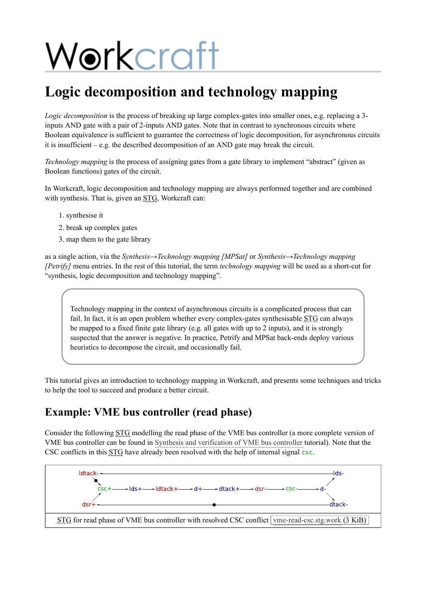# Workcraft

# **Logic decomposition and technology mapping**

*Logic decomposition* is the process of breaking up large complex-gates into smaller ones, e.g. replacing a 3inputs AND gate with a pair of 2-inputs AND gates. Note that in contrast to synchronous circuits where Boolean equivalence is sufficient to guarantee the correctness of logic decomposition, for asynchronous circuits it is insufficient  $-e.g.$  the described decomposition of an AND gate may break the circuit.

*Technology mapping* is the process of assigning gates from a gate library to implement "abstract" (given as Boolean functions) gates of the circuit.

In Workcraft, logic decomposition and technology mapping are always performed together and are combined with synthesis. That is, given an STG, Workcraft can:

- 1. synthesise it
- 2. break up complex gates
- 3. map them to the gate library

as a single action, via the *Synthesis→Technology mapping [MPSat]* or *Synthesis→Technology mapping [Petrify]* menu entries. In the rest of this tutorial, the term *technology mapping* will be used as a short-cut for "synthesis, logic decomposition and technology mapping".

Technology mapping in the context of asynchronous circuits is a complicated process that can fail. In fact, it is an open problem whether every complex-gates synthesisable STG can always be mapped to a fixed finite gate library (e.g. all gates with up to 2 inputs), and it is strongly suspected that the answer is negative. In practice, Petrify and MPSat back-ends deploy various heuristics to decompose the circuit, and occasionally fail.

This tutorial gives an introduction to technology mapping in Workcraft, and presents some techniques and tricks to help the tool to succeed and produce a better circuit.

## **Example: VME bus controller (read phase)**

Consider the following STG modelling the read phase of the VME bus controller (a more complete version of VME bus controller can be found in [Synthesis and verification of VME bus controller](https://workcraft.org/tutorial/synthesis/vme/start) tutorial). Note that the CSC conflicts in this STG have already been resolved with the help of internal signal csc.

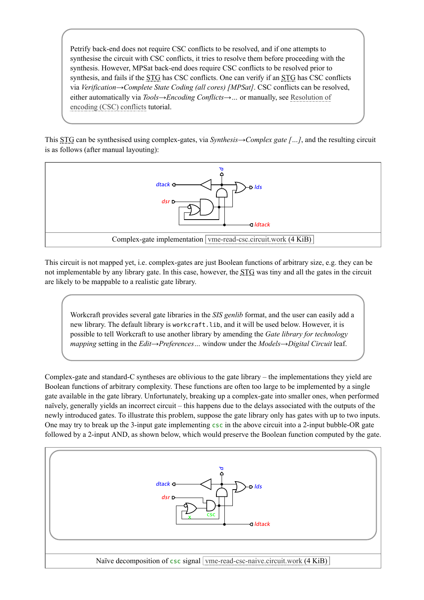Petrify back-end does not require CSC conflicts to be resolved, and if one attempts to synthesise the circuit with CSC conflicts, it tries to resolve them before proceeding with the synthesis. However, MPSat back-end does require CSC conflicts to be resolved prior to synthesis, and fails if the STG has CSC conflicts. One can verify if an STG has CSC conflicts via *Verification→Complete State Coding (all cores) [MPSat]*. CSC conflicts can be resolved, either automatically via *Tools→Encoding Conflicts→…* or manually, see Resolution of [encoding \(CSC\) conflicts tutorial.](https://workcraft.org/tutorial/synthesis/csc-resolution/start)

This STG can be synthesised using complex-gates, via *Synthesis→Complex gate […]*, and the resulting circuit is as follows (after manual layouting):



This circuit is not mapped yet, i.e. complex-gates are just Boolean functions of arbitrary size, e.g. they can be not implementable by any library gate. In this case, however, the STG was tiny and all the gates in the circuit are likely to be mappable to a realistic gate library.

Workcraft provides several gate libraries in the *SIS genlib* format, and the user can easily add a new library. The default library is workcraft.lib, and it will be used below. However, it is possible to tell Workcraft to use another library by amending the *Gate library for technology mapping* setting in the *Edit→Preferences…* window under the *Models→Digital Circuit* leaf.

Complex-gate and standard-C syntheses are oblivious to the gate library – the implementations they yield are Boolean functions of arbitrary complexity. These functions are often too large to be implemented by a single gate available in the gate library. Unfortunately, breaking up a complex-gate into smaller ones, when performed naïvely, generally yields an incorrect circuit – this happens due to the delays associated with the outputs of the newly introduced gates. To illustrate this problem, suppose the gate library only has gates with up to two inputs. One may try to break up the 3-input gate implementing csc in the above circuit into a 2-input bubble-OR gate followed by a 2-input AND, as shown below, which would preserve the Boolean function computed by the gate.

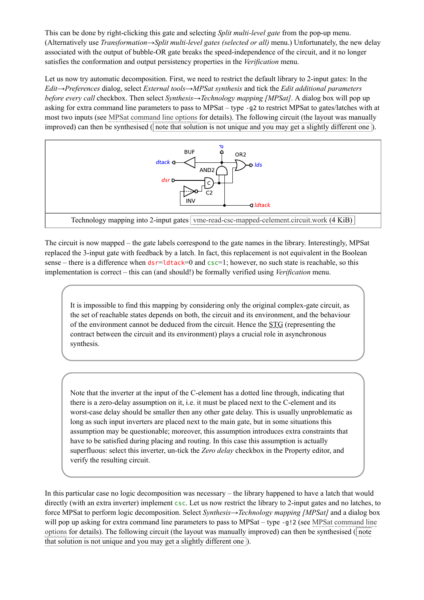This can be done by right-clicking this gate and selecting *Split multi-level gate* from the pop-up menu. (Alternatively use *Transformation→Split multi-level gates (selected or all)* menu.) Unfortunately, the new delay associated with the output of bubble-OR gate breaks the speed-independence of the circuit, and it no longer satisfies the conformation and output persistency properties in the *Verification* menu.

Let us now try automatic decomposition. First, we need to restrict the default library to 2-input gates: In the *Edit→Preferences* dialog, select *External tools→MPSat synthesis* and tick the *Edit additional parameters before every call* checkbox. Then select *Synthesis→Technology mapping [MPSat]*. A dialog box will pop up asking for extra command line parameters to pass to MPSat – type -g2 to restrict MPSat to gates/latches with at most two inputs (see [MPSat command line options](https://workcraft.org/help/mpsat) for details). The following circuit (the layout was manually improved) can then be synthesised ( note that solution is not unique and you may get a slightly different one ).



The circuit is now mapped – the gate labels correspond to the gate names in the library. Interestingly, MPSat replaced the 3-input gate with feedback by a latch. In fact, this replacement is not equivalent in the Boolean sense – there is a difference when  $dsr=ldtack=0$  and  $csc=1$ ; however, no such state is reachable, so this implementation is correct – this can (and should!) be formally verified using *Verification* menu.

It is impossible to find this mapping by considering only the original complex-gate circuit, as the set of reachable states depends on both, the circuit and its environment, and the behaviour of the environment cannot be deduced from the circuit. Hence the STG (representing the contract between the circuit and its environment) plays a crucial role in asynchronous synthesis.

Note that the inverter at the input of the C-element has a dotted line through, indicating that there is a zero-delay assumption on it, i.e. it must be placed next to the C-element and its worst-case delay should be smaller then any other gate delay. This is usually unproblematic as long as such input inverters are placed next to the main gate, but in some situations this assumption may be questionable; moreover, this assumption introduces extra constraints that have to be satisfied during placing and routing. In this case this assumption is actually superfluous: select this inverter, un-tick the *Zero delay* checkbox in the Property editor, and verify the resulting circuit.

In this particular case no logic decomposition was necessary – the library happened to have a latch that would directly (with an extra inverter) implement csc. Let us now restrict the library to 2-input gates and no latches, to force MPSat to perform logic decomposition. Select *Synthesis→Technology mapping [MPSat]* and a dialog box will pop up asking for extra command line parameters to pass to MPSat – type -g!2 (see MPSat command line [options for details\). The following circuit \(the layout was manually improved\) can then be synthesised \(](https://workcraft.org/help/mpsat) note that solution is not unique and you may get a slightly different one ).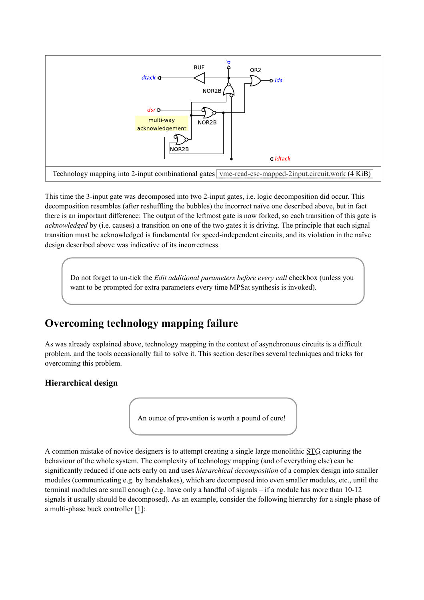

This time the 3-input gate was decomposed into two 2-input gates, i.e. logic decomposition did occur. This decomposition resembles (after reshuffling the bubbles) the incorrect naïve one described above, but in fact there is an important difference: The output of the leftmost gate is now forked, so each transition of this gate is *acknowledged* by (i.e. causes) a transition on one of the two gates it is driving. The principle that each signal transition must be acknowledged is fundamental for speed-independent circuits, and its violation in the naïve design described above was indicative of its incorrectness.

Do not forget to un-tick the *Edit additional parameters before every call* checkbox (unless you want to be prompted for extra parameters every time MPSat synthesis is invoked).

## **Overcoming technology mapping failure**

As was already explained above, technology mapping in the context of asynchronous circuits is a difficult problem, and the tools occasionally fail to solve it. This section describes several techniques and tricks for overcoming this problem.

#### **Hierarchical design**

An ounce of prevention is worth a pound of cure!

A common mistake of novice designers is to attempt creating a single large monolithic STG capturing the behaviour of the whole system. The complexity of technology mapping (and of everything else) can be significantly reduced if one acts early on and uses *hierarchical decomposition* of a complex design into smaller modules (communicating e.g. by handshakes), which are decomposed into even smaller modules, etc., until the terminal modules are small enough (e.g. have only a handful of signals  $-$  if a module has more than 10-12 signals it usually should be decomposed). As an example, consider the following hierarchy for a single phase of a multi-phase buck controller [\[1\]](#page-9-0):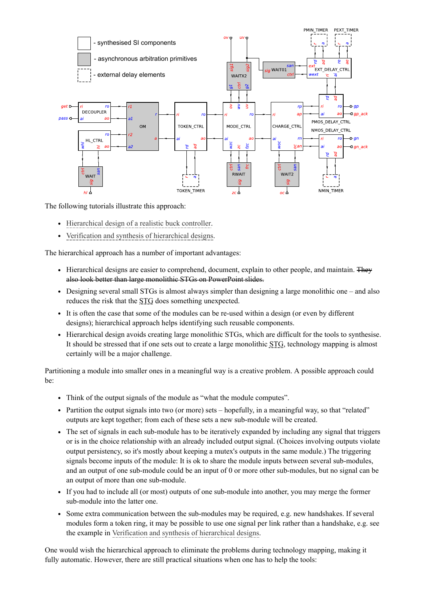

The following tutorials illustrate this approach:

- [Hierarchical design of a realistic buck controller](https://workcraft.org/tutorial/synthesis/decomposition/start).
- [Verification and synthesis of hierarchical designs](https://workcraft.org/tutorial/synthesis/composition/start).

The hierarchical approach has a number of important advantages:

- Hierarchical designs are easier to comprehend, document, explain to other people, and maintain. They also look better than large monolithic STGs on PowerPoint slides.
- Designing several small STGs is almost always simpler than designing a large monolithic one and also reduces the risk that the STG does something unexpected.
- It is often the case that some of the modules can be re-used within a design (or even by different designs); hierarchical approach helps identifying such reusable components.
- Hierarchical design avoids creating large monolithic STGs, which are difficult for the tools to synthesise. It should be stressed that if one sets out to create a large monolithic STG, technology mapping is almost certainly will be a major challenge.

Partitioning a module into smaller ones in a meaningful way is a creative problem. A possible approach could be:

- Think of the output signals of the module as "what the module computes".
- Partition the output signals into two (or more) sets hopefully, in a meaningful way, so that "related" outputs are kept together; from each of these sets a new sub-module will be created.
- The set of signals in each sub-module has to be iteratively expanded by including any signal that triggers or is in the choice relationship with an already included output signal. (Choices involving outputs violate output persistency, so it's mostly about keeping a mutex's outputs in the same module.) The triggering signals become inputs of the module: It is ok to share the module inputs between several sub-modules, and an output of one sub-module could be an input of 0 or more other sub-modules, but no signal can be an output of more than one sub-module.
- If you had to include all (or most) outputs of one sub-module into another, you may merge the former sub-module into the latter one.
- Some extra communication between the sub-modules may be required, e.g. new handshakes. If several modules form a token ring, it may be possible to use one signal per link rather than a handshake, e.g. see the example in [Verification and synthesis of hierarchical designs.](https://workcraft.org/tutorial/synthesis/composition/start)

One would wish the hierarchical approach to eliminate the problems during technology mapping, making it fully automatic. However, there are still practical situations when one has to help the tools: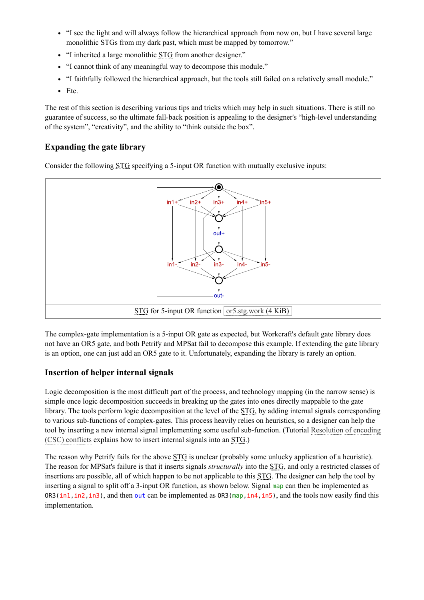- "I see the light and will always follow the hierarchical approach from now on, but I have several large monolithic STGs from my dark past, which must be mapped by tomorrow."
- "I inherited a large monolithic STG from another designer."
- "I cannot think of any meaningful way to decompose this module."
- "I faithfully followed the hierarchical approach, but the tools still failed on a relatively small module."
- Etc.

The rest of this section is describing various tips and tricks which may help in such situations. There is still no guarantee of success, so the ultimate fall-back position is appealing to the designer's "high-level understanding of the system", "creativity", and the ability to "think outside the box".

#### **Expanding the gate library**

Consider the following STG specifying a 5-input OR function with mutually exclusive inputs:



The complex-gate implementation is a 5-input OR gate as expected, but Workcraft's default gate library does not have an OR5 gate, and both Petrify and MPSat fail to decompose this example. If extending the gate library is an option, one can just add an OR5 gate to it. Unfortunately, expanding the library is rarely an option.

#### **Insertion of helper internal signals**

Logic decomposition is the most difficult part of the process, and technology mapping (in the narrow sense) is simple once logic decomposition succeeds in breaking up the gates into ones directly mappable to the gate library. The tools perform logic decomposition at the level of the STG, by adding internal signals corresponding to various sub-functions of complex-gates. This process heavily relies on heuristics, so a designer can help the [tool by inserting a new internal signal implementing some useful sub-function. \(Tutorial Resolution of encoding](https://workcraft.org/tutorial/synthesis/csc-resolution/start#signal_insertion) (CSC) conflicts explains how to insert internal signals into an STG.)

The reason why Petrify fails for the above STG is unclear (probably some unlucky application of a heuristic). The reason for MPSat's failure is that it inserts signals *structurally* into the STG, and only a restricted classes of insertions are possible, all of which happen to be not applicable to this STG. The designer can help the tool by inserting a signal to split off a 3-input OR function, as shown below. Signal map can then be implemented as  $OR3(in1, in2, in3)$ , and then out can be implemented as  $OR3(map, in4, in5)$ , and the tools now easily find this implementation.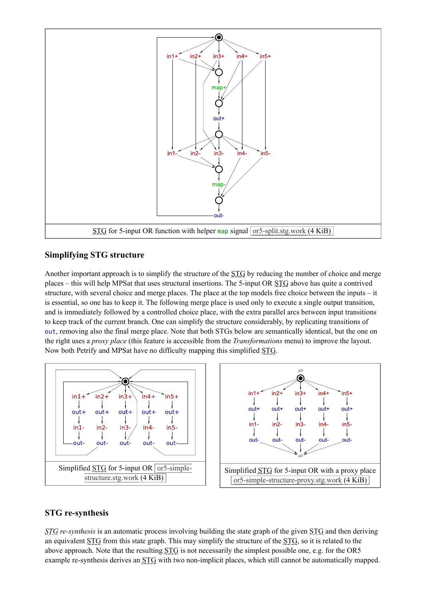

#### **Simplifying STG structure**

Another important approach is to simplify the structure of the STG by reducing the number of choice and merge places – this will help MPSat that uses structural insertions. The 5-input OR STG above has quite a contrived structure, with several choice and merge places. The place at the top models free choice between the inputs – it is essential, so one has to keep it. The following merge place is used only to execute a single output transition, and is immediately followed by a controlled choice place, with the extra parallel arcs between input transitions to keep track of the current branch. One can simplify the structure considerably, by replicating transitions of out, removing also the final merge place. Note that both STGs below are semantically identical, but the one on the right uses a *proxy place* (this feature is accessible from the *Transformations* menu) to improve the layout. Now both Petrify and MPSat have no difficulty mapping this simplified STG.



#### **STG re-synthesis**

*STG re-synthesis* is an automatic process involving building the state graph of the given STG and then deriving an equivalent STG from this state graph. This may simplify the structure of the STG, so it is related to the above approach. Note that the resulting STG is not necessarily the simplest possible one, e.g. for the OR5 example re-synthesis derives an STG with two non-implicit places, which still cannot be automatically mapped.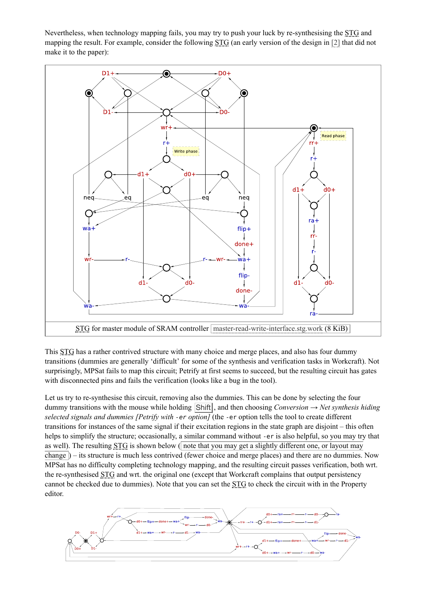Nevertheless, when technology mapping fails, you may try to push your luck by re-synthesising the STG and mapping the result. For example, consider the following STG (an early version of the design in [\[2\]](#page-9-1) that did not make it to the paper):



This STG has a rather contrived structure with many choice and merge places, and also has four dummy transitions (dummies are generally 'difficult' for some of the synthesis and verification tasks in Workcraft). Not surprisingly, MPSat fails to map this circuit; Petrify at first seems to succeed, but the resulting circuit has gates with disconnected pins and fails the verification (looks like a bug in the tool).

Let us try to re-synthesise this circuit, removing also the dummies. This can be done by selecting the four dummy transitions with the mouse while holding  $\vert$ Shift $\vert$ , and then choosing *Conversion*  $\rightarrow$  *Net synthesis hiding selected signals and dummies [Petrify with -er option]* (the -er option tells the tool to create different transitions for instances of the same signal if their excitation regions in the state graph are disjoint – this often helps to simplify the structure; occasionally, a similar command without -er is also helpful, so you may try that as well). The resulting  $STG$  is shown below ( note that you may get a slightly different one, or layout may change ) – its structure is much less contrived (fewer choice and merge places) and there are no dummies. Now MPSat has no difficulty completing technology mapping, and the resulting circuit passes verification, both wrt. the re-synthesised STG and wrt. the original one (except that Workcraft complains that output persistency cannot be checked due to dummies). Note that you can set the STG to check the circuit with in the Property editor.

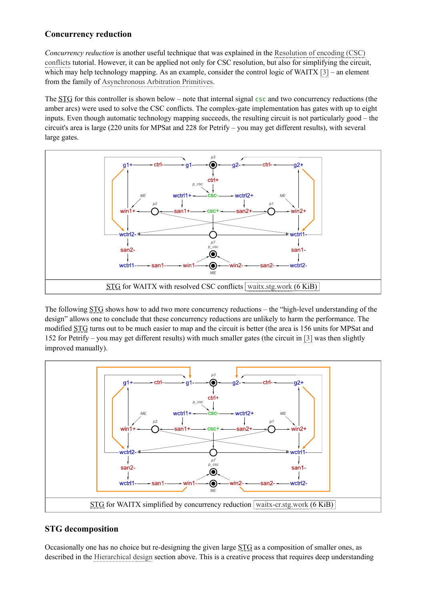#### **Concurrency reduction**

*Concurrency reduction* is another useful technique that was explained in the Resolution of encoding (CSC) [conflicts tutorial. However, it can be applied not only for CSC resolution, but also for simplifying the circu](https://workcraft.org/tutorial/synthesis/csc-resolution/start#concurrency_reduction)it, which may help technology mapping. As an example, consider the control logic of WAITX [\[3\]](#page-9-2) – an element from the family of [Asynchronous Arbitration Primitives.](https://workcraft.org/a2a/start)

The STG for this controller is shown below – note that internal signal csc and two concurrency reductions (the amber arcs) were used to solve the CSC conflicts. The complex-gate implementation has gates with up to eight inputs. Even though automatic technology mapping succeeds, the resulting circuit is not particularly good – the circuit's area is large (220 units for MPSat and 228 for Petrify – you may get different results), with several large gates.



The following STG shows how to add two more concurrency reductions – the "high-level understanding of the design" allows one to conclude that these concurrency reductions are unlikely to harm the performance. The modified STG turns out to be much easier to map and the circuit is better (the area is 156 units for MPSat and 152 for Petrify – you may get different results) with much smaller gates (the circuit in [\[3\]](#page-9-2) was then slightly improved manually).



#### **STG decomposition**

Occasionally one has no choice but re-designing the given large STG as a composition of smaller ones, as described in the [Hierarchical design](https://workcraft.org/tutorial/synthesis/technology_mapping/start#hierarchical_design) section above. This is a creative process that requires deep understanding